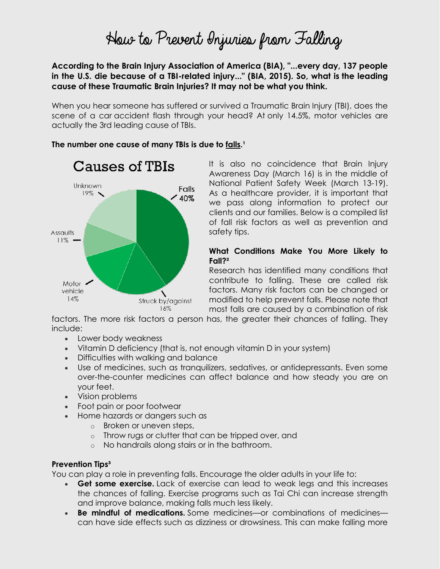# How to Prevent Injuries from Falling

**According to the Brain Injury Association of America (BIA), "...every day, 137 people in the U.S. die because of a TBI-related injury..." (BIA, 2015). So, what is the leading cause of these Traumatic Brain Injuries? It may not be what you think.**

When you hear someone has suffered or survived a Traumatic Brain Injury (TBI), does the scene of a car accident flash through your head? At only 14.5%, motor vehicles are actually the 3rd leading cause of TBIs.



#### The number one cause of many TBIs is due to falls.<sup>1</sup>

It is also no coincidence that Brain Injury Awareness Day (March 16) is in the middle of National Patient Safety Week (March 13-19). As a healthcare provider, it is important that we pass along information to protect our clients and our families. Below is a compiled list of fall risk factors as well as prevention and safety tips.

### **What Conditions Make You More Likely to Fall?²**

Research has identified many conditions that contribute to falling. These are called risk factors. Many risk factors can be changed or modified to help prevent falls. Please note that most falls are caused by a combination of risk

factors. The more risk factors a person has, the greater their chances of falling. They include:

- Lower body weakness
- Vitamin D deficiency (that is, not enough vitamin D in your system)
- Difficulties with walking and balance
- Use of medicines, such as tranquilizers, sedatives, or antidepressants. Even some over-the-counter medicines can affect balance and how steady you are on your feet.
- Vision problems
- Foot pain or poor footwear
- Home hazards or dangers such as
	- o Broken or uneven steps,
	- o Throw rugs or clutter that can be tripped over, and
	- o No handrails along stairs or in the bathroom.

## **Prevention Tips³**

You can play a role in preventing falls. Encourage the older adults in your life to:

- **Get some exercise.** Lack of exercise can lead to weak legs and this increases the chances of falling. Exercise programs such as Tai Chi can increase strength and improve balance, making falls much less likely.
- **Be mindful of medications.** Some medicines—or combinations of medicines can have side effects such as dizziness or drowsiness. This can make falling more